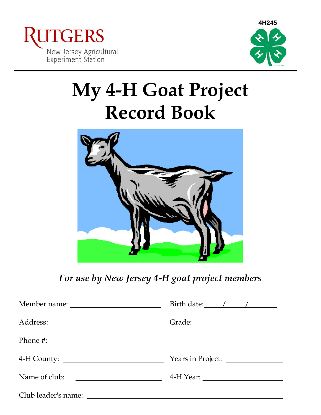



# **My 4-H Goat Project Record Book**



*For use by New Jersey 4-H goat project members*

|                                                                                                                                       | Years in Project: |
|---------------------------------------------------------------------------------------------------------------------------------------|-------------------|
| Name of club:<br><u> 1980 - Jan Barbara Barbara, manazarta bashkar a shekara 1980 - 1981 - 1982 - 1982 - 1983 - 1984 - 1986 - 198</u> |                   |
|                                                                                                                                       |                   |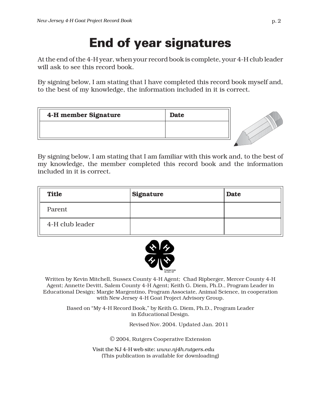## End of year signatures

At the end of the 4-H year, when your record book is complete, your 4-H club leader will ask to see this record book.

By signing below, I am stating that I have completed this record book myself and, to the best of my knowledge, the information included in it is correct.

| 4-H member Signature | <b>Date</b> |
|----------------------|-------------|
|                      |             |
|                      |             |



By signing below, I am stating that I am familiar with this work and, to the best of my knowledge, the member completed this record book and the information included in it is correct.

| <b>Title</b>    | Signature | <b>Date</b> |
|-----------------|-----------|-------------|
| Parent          |           |             |
| 4-H club leader |           |             |



Written by Kevin Mitchell, Sussex County 4-H Agent; Chad Ripberger, Mercer County 4-H Agent; Annette Devitt, Salem County 4-H Agent; Keith G. Diem, Ph.D., Program Leader in Educational Design; Margie Margentino, Program Associate, Animal Science, in cooperation with New Jersey 4-H Goat Project Advisory Group.

Based on "My 4-H Record Book," by Keith G. Diem, Ph.D., Program Leader in Educational Design.

Revised Nov. 2004. Updated Jan. 2011

© 2004, Rutgers Cooperative Extension

Visit the NJ 4-H web site: *www.nj4h.rutgers.edu* (This publication is available for downloading)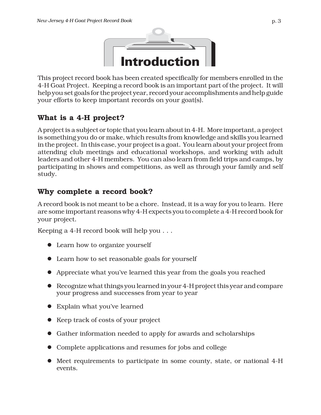

This project record book has been created specifically for members enrolled in the 4-H Goat Project. Keeping a record book is an important part of the project. It will help you set goals for the project year, record your accomplishments and help guide your efforts to keep important records on your goat(s).

### **What is a 4-H project?**

A project is a subject or topic that you learn about in 4-H. More important, a project is something you do or make, which results from knowledge and skills you learned in the project. In this case, your project is a goat. You learn about your project from attending club meetings and educational workshops, and working with adult leaders and other 4-H members. You can also learn from field trips and camps, by participating in shows and competitions, as well as through your family and self study.

#### **Why complete a record book?**

A record book is not meant to be a chore. Instead, it is a way for you to learn. Here are some important reasons why 4-H expects you to complete a 4-H record book for your project.

Keeping a 4-H record book will help you . . .

- Learn how to organize yourself
- Learn how to set reasonable goals for yourself
- Appreciate what you've learned this year from the goals you reached
- $\bullet$  Recognize what things you learned in your 4-H project this year and compare your progress and successes from year to year
- Explain what you've learned
- $\bullet$  Keep track of costs of your project
- Gather information needed to apply for awards and scholarships
- Complete applications and resumes for jobs and college
- $\bullet$  Meet requirements to participate in some county, state, or national 4-H events.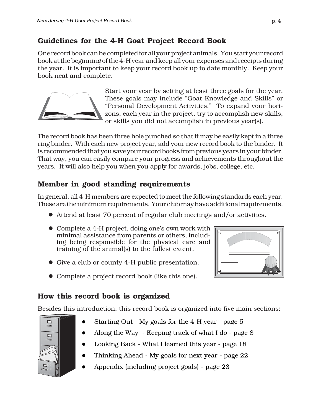## **Guidelines for the 4-H Goat Project Record Book**

One record book can be completed for all your project animals. You start your record book at the beginning of the 4-H year and keep all your expenses and receipts during the year. It is important to keep your record book up to date monthly. Keep your book neat and complete.



Start your year by setting at least three goals for the year. These goals may include "Goat Knowledge and Skills" or "Personal Development Activities." To expand your horizons, each year in the project, try to accomplish new skills, or skills you did not accomplish in previous year(s).

The record book has been three hole punched so that it may be easily kept in a three ring binder. With each new project year, add your new record book to the binder. It is recommended that you save your record books from previous years in your binder. That way, you can easily compare your progress and achievements throughout the years. It will also help you when you apply for awards, jobs, college, etc.

## **Member in good standing requirements**

In general, all 4-H members are expected to meet the following standards each year. These are the minimum requirements. Your club may have additional requirements.

- Attend at least 70 percent of regular club meetings and/or activities.
- Complete a 4-H project, doing one's own work with  $|$ minimal assistance from parents or others, including being responsible for the physical care and training of the animal(s) to the fullest extent.
- Give a club or county 4-H public presentation.
- Complete a project record book (like this one).

## **How this record book is organized**

 $\Box$ 

 $\Box$ 

Besides this introduction, this record book is organized into five main sections:



- Along the Way Keeping track of what I do page 8
- Looking Back What I learned this year page 18
- Thinking Ahead My goals for next year page 22
- Appendix (including project goals) page 23

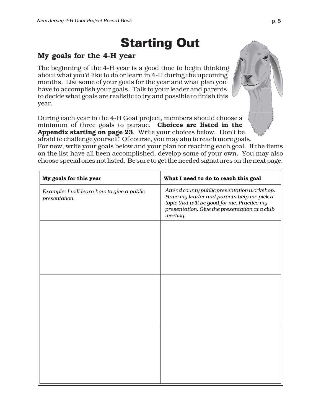## Starting Out

#### **My goals for the 4-H year**

The beginning of the 4-H year is a good time to begin thinking about what you'd like to do or learn in 4-H during the upcoming months. List some of your goals for the year and what plan you have to accomplish your goals. Talk to your leader and parents to decide what goals are realistic to try and possible to finish this year.

During each year in the 4-H Goat project, members should choose a minimum of three goals to pursue. **Choices are listed in the Appendix starting on page 23**. Write your choices below. Don't be afraid to challenge yourself! Of course, you may aim to reach more goals. For now, write your goals below and your plan for reaching each goal. If the items

on the list have all been accomplished, develop some of your own. You may also choose special ones not listed. Be sure to get the needed signatures on the next page.

| My goals for this year                                      | What I need to do to reach this goal                                                                                                                                                                 |
|-------------------------------------------------------------|------------------------------------------------------------------------------------------------------------------------------------------------------------------------------------------------------|
| Example: I will learn how to give a public<br>presentation. | Attend county public presentation workshop.<br>Have my leader and parents help me pick a<br>topic that will be good for me. Practice my<br>presentation. Give the presentation at a club<br>meeting. |
|                                                             |                                                                                                                                                                                                      |
|                                                             |                                                                                                                                                                                                      |
|                                                             |                                                                                                                                                                                                      |
|                                                             |                                                                                                                                                                                                      |
|                                                             |                                                                                                                                                                                                      |
|                                                             |                                                                                                                                                                                                      |
|                                                             |                                                                                                                                                                                                      |
|                                                             |                                                                                                                                                                                                      |
|                                                             |                                                                                                                                                                                                      |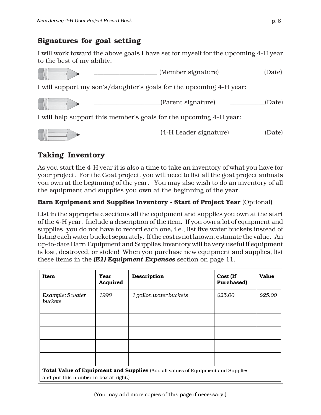### **Signatures for goal setting**

I will work toward the above goals I have set for myself for the upcoming 4-H year to the best of my ability:



## **Taking Inventory**

As you start the 4-H year it is also a time to take an inventory of what you have for your project. For the Goat project, you will need to list all the goat project animals you own at the beginning of the year. You may also wish to do an inventory of all the equipment and supplies you own at the beginning of the year.

#### **Barn Equipment and Supplies Inventory - Start of Project Year** (Optional)

List in the appropriate sections all the equipment and supplies you own at the start of the 4-H year. Include a description of the item. If you own a lot of equipment and supplies, you do not have to record each one, i.e., list five water buckets instead of listing each water bucket separately. If the cost is not known, estimate the value. An up-to-date Barn Equipment and Supplies Inventory will be very useful if equipment is lost, destroyed, or stolen! When you purchase new equipment and supplies, list these items in the *(E1) Equipment Expenses* section on page 11.

| Item                                                                            | Year<br>Acquired | Description            | Cost (If<br>Purchased) | <b>Value</b> |
|---------------------------------------------------------------------------------|------------------|------------------------|------------------------|--------------|
| Example: 5 water<br><i>buckets</i>                                              | 1998             | 1 gallon water buckets | \$25.00                | \$25.00      |
|                                                                                 |                  |                        |                        |              |
|                                                                                 |                  |                        |                        |              |
|                                                                                 |                  |                        |                        |              |
|                                                                                 |                  |                        |                        |              |
| Total Value of Equipment and Supplies (Add all values of Equipment and Supplies |                  |                        |                        |              |
| and put this number in box at right.)                                           |                  |                        |                        |              |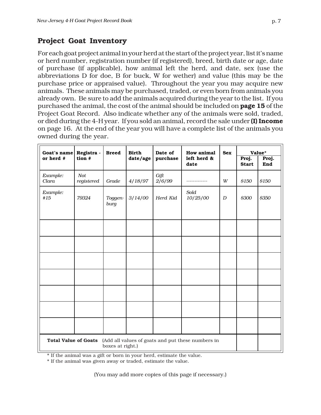### **Project Goat Inventory**

For each goat project animal in your herd at the start of the project year, list it's name or herd number, registration number (if registered), breed, birth date or age, date of purchase (if applicable), how animal left the herd, and date, sex (use the abbreviations D for doe, B for buck, W for wether) and value (this may be the purchase price or appraised value). Throughout the year you may acquire new animals. These animals may be purchased, traded, or even born from animals you already own. Be sure to add the animals acquired during the year to the list. If you purchased the animal, the cost of the animal should be included on **page 15** of the Project Goat Record. Also indicate whether any of the animals were sold, traded, or died during the 4-H year. If you sold an animal, record the sale under **(I) Income** on page 16. At the end of the year you will have a complete list of the animals you owned during the year.

| Goat's name                 | Registra -        | <b>Breed</b>     | <b>Birth</b> | Date of        | <b>How animal</b>                                 | Value*<br><b>Sex</b> |                       |              |
|-----------------------------|-------------------|------------------|--------------|----------------|---------------------------------------------------|----------------------|-----------------------|--------------|
| or herd #                   | tion #            |                  | date/age     | purchase       | left herd &<br>date                               |                      | Proj.<br><b>Start</b> | Proj.<br>End |
| Example:<br>Clara           | Not<br>registered | Grade            | 4/18/97      | Gift<br>2/6/99 |                                                   | W                    | \$150                 | \$150        |
| Example:<br>#15             | 79324             | Toggen-<br>burg  | 3/14/00      | Herd Kid       | Sold<br>10/25/00                                  | $\boldsymbol{D}$     | \$300                 | \$350        |
|                             |                   |                  |              |                |                                                   |                      |                       |              |
|                             |                   |                  |              |                |                                                   |                      |                       |              |
|                             |                   |                  |              |                |                                                   |                      |                       |              |
|                             |                   |                  |              |                |                                                   |                      |                       |              |
|                             |                   |                  |              |                |                                                   |                      |                       |              |
|                             |                   |                  |              |                |                                                   |                      |                       |              |
|                             |                   |                  |              |                |                                                   |                      |                       |              |
| <b>Total Value of Goats</b> |                   | boxes at right.) |              |                | (Add all values of goats and put these numbers in |                      |                       |              |

\* If the animal was a gift or born in your herd, estimate the value.

\* If the animal was given away or traded, estimate the value.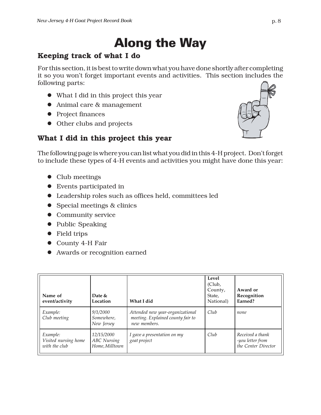## Along the Way

## **Keeping track of what I do**

For this section, it is best to write down what you have done shortly after completing it so you won't forget important events and activities. This section includes the following parts:

- What I did in this project this year
- $\bullet$  Animal care & management
- Project finances
- Other clubs and projects

## **What I did in this project this year**

The following page is where you can list what you did in this 4-H project. Don't forget to include these types of 4-H events and activities you might have done this year:

- $\bullet$  Club meetings
- $\bullet$  Events participated in
- Leadership roles such as offices held, committees led
- Special meetings & clinics
- Community service
- $\bullet$  Public Speaking
- Field trips
- County 4-H Fair
- Awards or recognition earned

| Name of<br>event/activity                         | Date &<br>Location                                 | What I did                                                                            | Level<br>(Club,<br>County,<br>State,<br>National) | Award or<br>Recognition<br>Earned?                          |
|---------------------------------------------------|----------------------------------------------------|---------------------------------------------------------------------------------------|---------------------------------------------------|-------------------------------------------------------------|
| Example:<br>Club meeting                          | 9/1/2000<br>Somewhere,<br>New Jersey               | Attended new year-organizational<br>meeting. Explained county fair to<br>new members. | Club                                              | none                                                        |
| Example:<br>Visited nursing home<br>with the club | 12/15/2000<br><b>ABC</b> Nursing<br>Home, Milltown | I gave a presentation on my<br>goat project                                           | Club                                              | Received a thank<br>-you letter from<br>the Center Director |

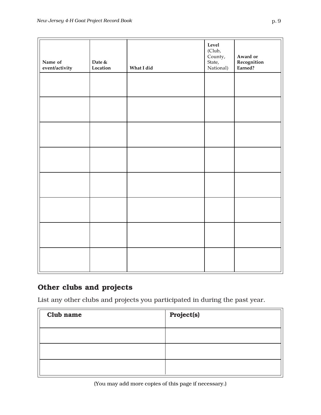| Name of<br>event/activity | Date $\&$<br>Location | What I did | Level<br>(Club,<br>County,<br>State,<br>National) | Award or<br><b>Recognition</b><br>Earned? |
|---------------------------|-----------------------|------------|---------------------------------------------------|-------------------------------------------|
|                           |                       |            |                                                   |                                           |
|                           |                       |            |                                                   |                                           |
|                           |                       |            |                                                   |                                           |
|                           |                       |            |                                                   |                                           |
|                           |                       |            |                                                   |                                           |
|                           |                       |            |                                                   |                                           |
|                           |                       |            |                                                   |                                           |
|                           |                       |            |                                                   |                                           |

## **Other clubs and projects**

List any other clubs and projects you participated in during the past year.

| Club name | Project(s) |
|-----------|------------|
|           |            |
|           |            |
|           |            |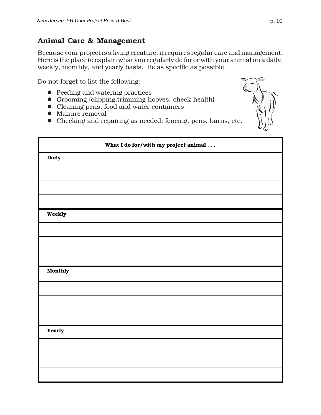#### **Animal Care & Management**

Because your project is a living creature, it requires regular care and management. Here is the place to explain what you regularly do for or with your animal on a daily, weekly, monthly, and yearly basis. Be as specific as possible.

Do not forget to list the following:

- $\bullet$  Feeding and watering practices
- Grooming (clipping, trimming hooves, check health)
- $\bullet$  Cleaning pens, food and water containers
- $\bullet$  Manure removal
- Checking and repairing as needed: fencing, pens, barns, etc.



|         | What I do for/with my project animal |
|---------|--------------------------------------|
| Daily   |                                      |
|         |                                      |
|         |                                      |
|         |                                      |
| Weekly  |                                      |
|         |                                      |
|         |                                      |
|         |                                      |
| Monthly |                                      |
|         |                                      |
|         |                                      |
|         |                                      |
| Yearly  |                                      |
|         |                                      |
|         |                                      |
|         |                                      |
|         |                                      |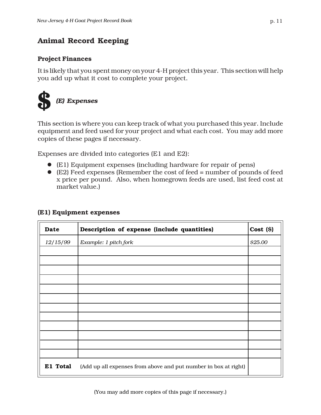### **Animal Record Keeping**

#### **Project Finances**

It is likely that you spent money on your 4-H project this year. This section will help you add up what it cost to complete your project.



This section is where you can keep track of what you purchased this year. Include equipment and feed used for your project and what each cost. You may add more copies of these pages if necessary.

Expenses are divided into categories (E1 and E2):

- (E1) Equipment expenses (including hardware for repair of pens)
- (E2) Feed expenses (Remember the cost of feed = number of pounds of feed x price per pound. Also, when homegrown feeds are used, list feed cost at market value.)

| Date     | Description of expense (include quantities)                     | $Cost (\$)$ |
|----------|-----------------------------------------------------------------|-------------|
| 12/15/99 | Example: 1 pitch fork                                           | \$25.00     |
|          |                                                                 |             |
|          |                                                                 |             |
|          |                                                                 |             |
|          |                                                                 |             |
|          |                                                                 |             |
|          |                                                                 |             |
|          |                                                                 |             |
|          |                                                                 |             |
|          |                                                                 |             |
| E1 Total | (Add up all expenses from above and put number in box at right) |             |

#### **(E1) Equipment expenses**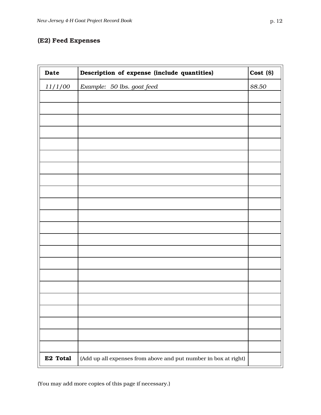#### **(E2) Feed Expenses**

| Date     | Description of expense (include quantities)                     | Cost (S) |
|----------|-----------------------------------------------------------------|----------|
| 11/1/00  | Example: 50 lbs. goat feed                                      | \$8.50   |
|          |                                                                 |          |
|          |                                                                 |          |
|          |                                                                 |          |
|          |                                                                 |          |
|          |                                                                 |          |
|          |                                                                 |          |
|          |                                                                 |          |
|          |                                                                 |          |
|          |                                                                 |          |
|          |                                                                 |          |
|          |                                                                 |          |
|          |                                                                 |          |
|          |                                                                 |          |
|          |                                                                 |          |
|          |                                                                 |          |
|          |                                                                 |          |
|          |                                                                 |          |
|          |                                                                 |          |
|          |                                                                 |          |
|          |                                                                 |          |
|          |                                                                 |          |
|          |                                                                 |          |
| E2 Total | (Add up all expenses from above and put number in box at right) |          |

(You may add more copies of this page if necessary.)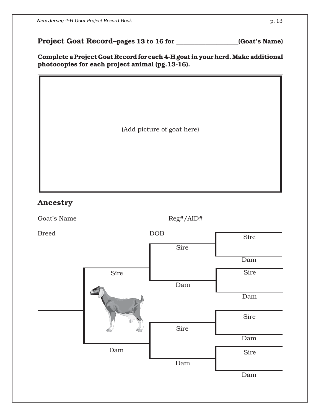**Project Goat Record–pages 13 to 16 for \_\_\_\_\_\_\_\_\_\_\_\_\_\_\_\_\_(Goat's Name)**

**Complete a Project Goat Record for each 4-H goat in your herd. Make additional photocopies for each project animal (pg.13-16).**

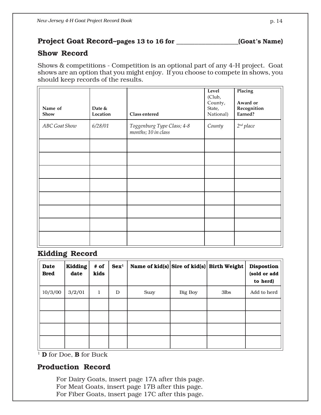#### **Project Goat Record–pages 13 to 16 for \_\_\_\_\_\_\_\_\_\_\_\_\_\_\_\_\_(Goat's Name)**

#### **Show Record**

Shows & competitions - Competition is an optional part of any 4-H project. Goat shows are an option that you might enjoy. If you choose to compete in shows, you should keep records of the results.

| Name of<br>Show | Date &<br>Location | Class entered                                     | Level<br>(Club,<br>County,<br>State,<br>National) | Placing<br>Award or<br>Recognition<br>Earned? |
|-----------------|--------------------|---------------------------------------------------|---------------------------------------------------|-----------------------------------------------|
| ABC Goat Show   | 6/28/01            | Toggenburg Type Class; 4-8<br>months; 10 in class | County                                            | $2^{nd}$ place                                |
|                 |                    |                                                   |                                                   |                                               |
|                 |                    |                                                   |                                                   |                                               |
|                 |                    |                                                   |                                                   |                                               |
|                 |                    |                                                   |                                                   |                                               |
|                 |                    |                                                   |                                                   |                                               |
|                 |                    |                                                   |                                                   |                                               |
|                 |                    |                                                   |                                                   |                                               |
|                 |                    |                                                   |                                                   |                                               |

#### **Kidding Record**

| Date<br><b>Bred</b> | <b>Kidding</b><br>date | # of<br>kids | Sex <sup>1</sup> | Name of kid(s) Sire of kid(s) Birth Weight |                |                   | <b>Dispostion</b><br>(sold or add<br>to herd) |
|---------------------|------------------------|--------------|------------------|--------------------------------------------|----------------|-------------------|-----------------------------------------------|
| 10/3/00             | 3/2/01                 | 1            | D                | Suzy                                       | <b>Big Boy</b> | 3 <sub>l</sub> bs | Add to herd                                   |
|                     |                        |              |                  |                                            |                |                   |                                               |
|                     |                        |              |                  |                                            |                |                   |                                               |
|                     |                        |              |                  |                                            |                |                   |                                               |
|                     |                        |              |                  |                                            |                |                   |                                               |

<sup>1</sup> **D** for Doe, **B** for Buck

#### **Production Record**

For Dairy Goats, insert page 17A after this page. For Meat Goats, insert page 17B after this page. For Fiber Goats, insert page 17C after this page.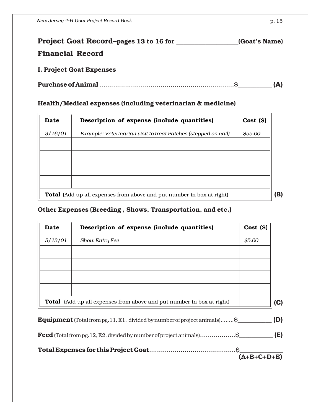| Project Goat Record-pages 13 to 16 for | (Goat's Name) |
|----------------------------------------|---------------|
| <b>Financial Record</b>                |               |
| <b>I. Project Goat Expenses</b>        |               |

|--|--|--|--|--|

#### **Health/Medical expenses (including veterinarian & medicine)**

| Date    | $Cost($ \$)<br>Description of expense (include quantities)                   |         |  |  |  |  |  |  |  |
|---------|------------------------------------------------------------------------------|---------|--|--|--|--|--|--|--|
| 3/16/01 | Example: Veterinarian visit to treat Patches (stepped on nail)               | \$55.00 |  |  |  |  |  |  |  |
|         |                                                                              |         |  |  |  |  |  |  |  |
|         |                                                                              |         |  |  |  |  |  |  |  |
|         |                                                                              |         |  |  |  |  |  |  |  |
|         |                                                                              |         |  |  |  |  |  |  |  |
|         | <b>Total</b> (Add up all expenses from above and put number in box at right) |         |  |  |  |  |  |  |  |

#### **Other Expenses (Breeding , Shows, Transportation, and etc.)**

| Date    | Description of expense (include quantities)                                       | $Cost (\$)$   |
|---------|-----------------------------------------------------------------------------------|---------------|
| 5/13/01 | Show Entry Fee                                                                    | \$5.00        |
|         |                                                                                   |               |
|         |                                                                                   |               |
|         |                                                                                   |               |
|         |                                                                                   |               |
|         | <b>Total</b> (Add up all expenses from above and put number in box at right)      | (C)           |
|         | <b>Equipment</b> (Total from pg. 11, E1, divided by number of project animals) \$ | (D)           |
|         | Feed (Total from pg. 12, E2, divided by number of project animals) \$             |               |
|         |                                                                                   |               |
|         |                                                                                   | $(A+B+C+D+E)$ |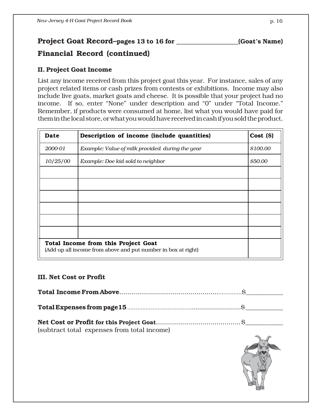### **Project Goat Record–pages 13 to 16 for \_\_\_\_\_\_\_\_\_\_\_\_\_\_\_\_\_(Goat's Name)**

### **Financial Record (continued)**

#### **II. Project Goat Income**

List any income received from this project goat this year. For instance, sales of any project related items or cash prizes from contests or exhibitions. Income may also include live goats, market goats and cheese. It is possible that your project had no income. If so, enter "None" under description and "0" under "Total Income." Remember, if products were consumed at home, list what you would have paid for them in the local store, or what you would have received in cash if you sold the product.

| Date     | Description of income (include quantities)                                                           | $Cost($ \$) |  |  |  |  |  |  |  |
|----------|------------------------------------------------------------------------------------------------------|-------------|--|--|--|--|--|--|--|
| 2000-01  | Example: Value of milk provided during the year                                                      | \$100.00    |  |  |  |  |  |  |  |
| 10/25/00 | Example: Doe kid sold to neighbor                                                                    | \$50.00     |  |  |  |  |  |  |  |
|          |                                                                                                      |             |  |  |  |  |  |  |  |
|          |                                                                                                      |             |  |  |  |  |  |  |  |
|          |                                                                                                      |             |  |  |  |  |  |  |  |
|          |                                                                                                      |             |  |  |  |  |  |  |  |
|          |                                                                                                      |             |  |  |  |  |  |  |  |
|          |                                                                                                      |             |  |  |  |  |  |  |  |
|          | Total Income from this Project Goat<br>(Add up all income from above and put number in box at right) |             |  |  |  |  |  |  |  |

#### **III. Net Cost or Profit**

| (subtract total expenses from total income) |  |
|---------------------------------------------|--|

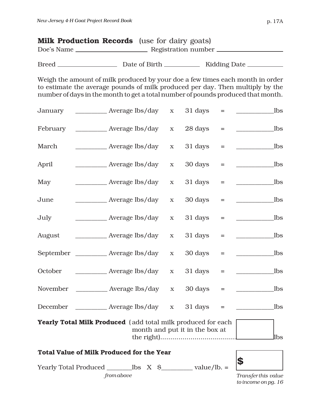| <b>Milk Production Records</b> (use for dairy goats) |                     |  |
|------------------------------------------------------|---------------------|--|
| Doe's Name                                           | Registration number |  |
|                                                      |                     |  |

| <b>Breed</b> | Date of Birth. | <b>Kidding Date</b> |
|--------------|----------------|---------------------|
|--------------|----------------|---------------------|

Weigh the amount of milk produced by your doe a few times each month in order to estimate the average pounds of milk produced per day. Then multiply by the number of days in the month to get a total number of pounds produced that month.

| January  |                                                              | $\mathbf X$ | 31 days                        | Ξ        | _lbs                |
|----------|--------------------------------------------------------------|-------------|--------------------------------|----------|---------------------|
| February | Average lbs/day                                              | $\mathbf X$ | 28 days                        | $=$      | lbs                 |
| March    | Average lbs/day                                              | $\mathbf X$ | 31 days                        | $=$      | <b>lbs</b>          |
| April    | Average lbs/day                                              | $\mathbf X$ | 30 days                        | $=$      | <b>lbs</b>          |
| May      | Average lbs/day                                              | $\mathbf X$ | 31 days                        | $\equiv$ | <b>lbs</b>          |
| June     | Average lbs/day                                              | $\mathbf X$ | 30 days                        | $=$      | <b>lbs</b>          |
| July     | Average lbs/day                                              | $\mathbf X$ | 31 days                        | $=$      | <b>lbs</b>          |
| August   | ______________ Average lbs/day                               | $\mathbf X$ | 31 days                        | $=$      | lbs                 |
|          | September ___________ Average lbs/day                        | $\mathbf X$ | 30 days                        | $=$      | _lbs                |
| October  | ___________________ Average lbs/day                          | $\mathbf X$ | 31 days                        | $=$      | _lbs                |
| November | Average lbs/day                                              | $\mathbf X$ | 30 days                        | $=$      | <b>lbs</b>          |
| December | Average lbs/day                                              | $\mathbf X$ | 31 days                        | $=$      | _lbs                |
|          | Yearly Total Milk Produced (add total milk produced for each |             | month and put it in the box at |          |                     |
|          |                                                              |             |                                |          | lbs                 |
|          | <b>Total Value of Milk Produced for the Year</b>             |             |                                |          | \$                  |
|          |                                                              |             |                                |          |                     |
|          | from above                                                   |             |                                |          | Transfer this value |

*to income on pg. 16*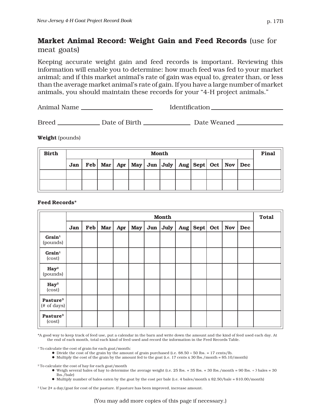## **Market Animal Record: Weight Gain and Feed Records** (use for

meat goats)

Keeping accurate weight gain and feed records is important. Reviewing this information will enable you to determine: how much feed was fed to your market animal; and if this market animal's rate of gain was equal to, greater than, or less than the average market animal's rate of gain. If you have a large number of market animals, you should maintain these records for your "4-H project animals."

Animal Name Identification

Breed Date of Birth Date Weaned

**Weight** (pounds)

| <b>Birth</b> | <b>Month</b> |  |  |  |  |  |                                                                   |  |  |  | Final |  |
|--------------|--------------|--|--|--|--|--|-------------------------------------------------------------------|--|--|--|-------|--|
|              | Jan          |  |  |  |  |  | Feb   Mar   Apr   May   Jun   July   Aug   Sept   Oct   Nov   Dec |  |  |  |       |  |
|              |              |  |  |  |  |  |                                                                   |  |  |  |       |  |
|              |              |  |  |  |  |  |                                                                   |  |  |  |       |  |

#### **Feed Records\***

|                                     |     |                |     |     |            |            | <b>Month</b> |                |     |            |     | <b>Total</b> |
|-------------------------------------|-----|----------------|-----|-----|------------|------------|--------------|----------------|-----|------------|-----|--------------|
|                                     | Jan | $\mathbf{Feb}$ | Mar | Apr | <b>May</b> | $Jun \mid$ | July         | Aug   Sept $ $ | Oct | <b>Nov</b> | Dec |              |
| $Grain1$<br>(pounds)                |     |                |     |     |            |            |              |                |     |            |     |              |
| $Grain1$<br>(cost)                  |     |                |     |     |            |            |              |                |     |            |     |              |
| $\mathbf{Hay}^2$<br>(pounds)        |     |                |     |     |            |            |              |                |     |            |     |              |
| $\mathbf{Hay}^2$<br>(cost)          |     |                |     |     |            |            |              |                |     |            |     |              |
| Pasture <sup>3</sup><br>(# of days) |     |                |     |     |            |            |              |                |     |            |     |              |
| Pasture <sup>3</sup><br>(cost)      |     |                |     |     |            |            |              |                |     |            |     |              |

\*A good way to keep track of feed use, put a calendar in the barn and write down the amount and the kind of feed used each day. At the end of each month, total each kind of feed used and record the information in the Feed Records Table.

<sup>1</sup> To calculate the cost of grain for each goat/month:

- $\bullet$  Divide the cost of the grain by the amount of grain purchased (i.e. \$8.50  $\div$  50 lbs. = 17 cents/lb.
- $\bullet$  Multiply the cost of the grain by the amount fed to the goat (i.e. 17 cents x 30 lbs./month = \$5.10/month)

2 To calculate the cost of hay for each goat/month

- $\bullet$  Weigh several bales of hay to determine the average weight (i.e. 25 lbs. + 35 lbs. + 30 lbs./month = 90 lbs. + 3 bales = 30 lbs./bale)
- $\bullet$  Multiply number of bales eaten by the goat by the cost per bale (i.e. 4 bales/month x \$2.50/bale = \$10.00/month)

3 Use 2¢ a day/goat for cost of the pasture. If pasture has been improved, increase amount.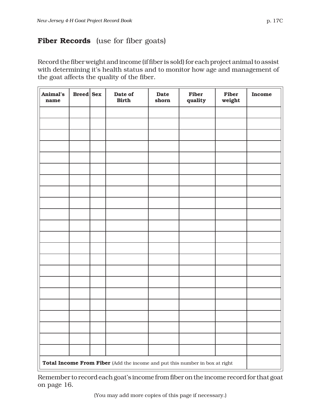Record the fiber weight and income (if fiber is sold) for each project animal to assist with determining it's health status and to monitor how age and management of the goat affects the quality of the fiber.

| Animal's<br>name | $Breed \succeq$                                                             |  | Date of<br><b>Birth</b> | <b>Date</b><br>shorn | Fiber<br>quality | Fiber<br>weight | <b>Income</b> |
|------------------|-----------------------------------------------------------------------------|--|-------------------------|----------------------|------------------|-----------------|---------------|
|                  |                                                                             |  |                         |                      |                  |                 |               |
|                  |                                                                             |  |                         |                      |                  |                 |               |
|                  |                                                                             |  |                         |                      |                  |                 |               |
|                  |                                                                             |  |                         |                      |                  |                 |               |
|                  |                                                                             |  |                         |                      |                  |                 |               |
|                  |                                                                             |  |                         |                      |                  |                 |               |
|                  |                                                                             |  |                         |                      |                  |                 |               |
|                  |                                                                             |  |                         |                      |                  |                 |               |
|                  |                                                                             |  |                         |                      |                  |                 |               |
|                  |                                                                             |  |                         |                      |                  |                 |               |
|                  |                                                                             |  |                         |                      |                  |                 |               |
|                  |                                                                             |  |                         |                      |                  |                 |               |
|                  |                                                                             |  |                         |                      |                  |                 |               |
|                  |                                                                             |  |                         |                      |                  |                 |               |
|                  |                                                                             |  |                         |                      |                  |                 |               |
|                  |                                                                             |  |                         |                      |                  |                 |               |
|                  |                                                                             |  |                         |                      |                  |                 |               |
|                  |                                                                             |  |                         |                      |                  |                 |               |
|                  |                                                                             |  |                         |                      |                  |                 |               |
|                  |                                                                             |  |                         |                      |                  |                 |               |
|                  |                                                                             |  |                         |                      |                  |                 |               |
|                  |                                                                             |  |                         |                      |                  |                 |               |
|                  | Total Income From Fiber (Add the income and put this number in box at right |  |                         |                      |                  |                 |               |

Remember to record each goat's income from fiber on the income record for that goat on page 16.

(You may add more copies of this page if necessary.)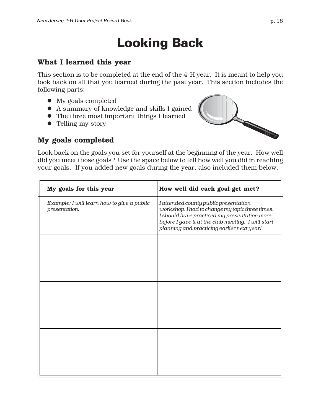## Looking Back

#### **What I learned this year**

This section is to be completed at the end of the 4-H year. It is meant to help you look back on all that you learned during the past year. This section includes the following parts:

- $\bullet$  My goals completed
- z A summary of knowledge and skills I gained
- $\bullet$  The three most important things I learned
- Telling my story



#### **My goals completed**

Look back on the goals you set for yourself at the beginning of the year. How well did you meet those goals? Use the space below to tell how well you did in reaching your goals. If you added new goals during the year, also included them below.

| My goals for this year                                      | How well did each goal get met?                                                                                                                                                                                                              |
|-------------------------------------------------------------|----------------------------------------------------------------------------------------------------------------------------------------------------------------------------------------------------------------------------------------------|
| Example: I will learn how to give a public<br>presentation. | I attended county public presentation<br>workshop. I had to change my topic three times.<br>I should have practiced my presentation more<br>before I gave it at the club meeting. I will start<br>planning and practicing earlier next year! |
|                                                             |                                                                                                                                                                                                                                              |
|                                                             |                                                                                                                                                                                                                                              |
|                                                             |                                                                                                                                                                                                                                              |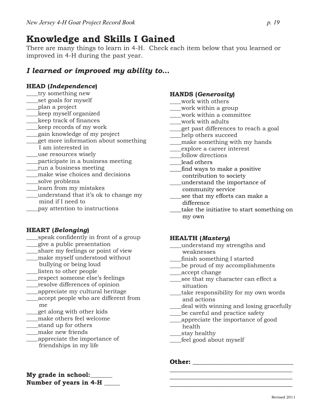## **Knowledge and Skills I Gained**

There are many things to learn in 4-H. Check each item below that you learned or improved in 4-H during the past year.

#### *I learned or improved my ability to…*

#### **HEAD (***Independence***)**

- \_\_\_\_try something new
- \_\_\_\_set goals for myself
- \_\_\_\_plan a project
- \_\_\_\_keep myself organized
- \_\_\_\_keep track of finances
- \_\_\_\_keep records of my work
- \_\_\_\_gain knowledge of my project
- \_\_\_\_get more information about something I am interested in
- \_\_\_\_use resources wisely
- \_\_\_\_participate in a business meeting
- \_\_\_\_run a business meeting
- make wise choices and decisions
- \_\_\_\_solve problems
- \_\_\_\_learn from my mistakes
- \_\_\_\_understand that it's ok to change my mind if I need to
- \_\_\_\_pay attention to instructions

#### **HEART (***Belonging***)**

- \_\_\_\_speak confidently in front of a group
- \_\_\_\_give a public presentation
- \_\_\_\_share my feelings or point of view
- \_\_\_\_make myself understood without
- bullying or being loud
- \_\_\_\_listen to other people \_\_\_\_respect someone else's feelings
- \_\_\_\_resolve differences of opinion
- \_\_\_\_appreciate my cultural heritage
- \_\_\_\_accept people who are different from me
- \_\_\_\_get along with other kids
- \_\_\_\_make others feel welcome
- \_\_\_\_stand up for others
- \_\_\_\_make new friends
- \_\_\_\_appreciate the importance of friendships in my life

## **HANDS (***Generosity***)**

- \_\_\_\_work with others
- \_\_\_\_work within a group
- work within a committee
- \_\_\_\_work with adults
- \_\_\_\_get past differences to reach a goal
- \_\_\_\_help others succeed
- make something with my hands
- \_\_\_\_explore a career interest
- \_\_\_\_follow directions
- lead others
- \_\_\_\_find ways to make a positive
- contribution to society
- \_\_\_\_understand the importance of community service
- see that my efforts can make a difference
- \_\_\_\_take the initiative to start something on my own

#### **HEALTH (***Mastery***)**

- \_\_\_\_understand my strengths and weaknesses
- \_\_\_\_finish something I started
- \_\_\_\_be proud of my accomplishments
- \_\_\_\_accept change
- \_\_\_\_see that my character can effect a situation
- \_\_\_\_take responsibility for my own words and actions
- deal with winning and losing gracefully

 $\overline{\phantom{a}}$  , where the contract of the contract of the contract of the contract of the contract of the contract of the contract of the contract of the contract of the contract of the contract of the contract of the contr \_\_\_\_\_\_\_\_\_\_\_\_\_\_\_\_\_\_\_\_\_\_\_\_\_\_\_\_\_\_\_\_\_\_\_\_\_\_\_  $\overline{\phantom{a}}$  , and the set of the set of the set of the set of the set of the set of the set of the set of the set of the set of the set of the set of the set of the set of the set of the set of the set of the set of the s

- \_\_\_\_be careful and practice safety
- \_\_\_\_appreciate the importance of good health
- \_\_\_\_stay healthy
- \_\_\_\_feel good about myself

#### **Other:**  $\blacksquare$

**My grade in school: Number of years in 4-H \_\_\_\_\_**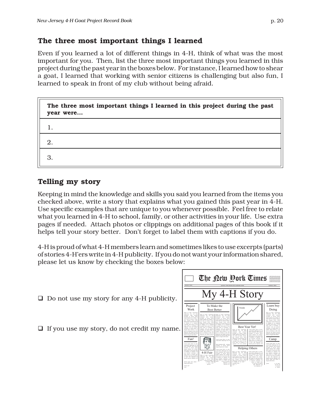#### **The three most important things I learned**

Even if you learned a lot of different things in 4-H, think of what was the most important for you. Then, list the three most important things you learned in this project during the past year in the boxes below. For instance, I learned how to shear a goat, I learned that working with senior citizens is challenging but also fun, I learned to speak in front of my club without being afraid.

| The three most important things I learned in this project during the past<br>year were |
|----------------------------------------------------------------------------------------|
|                                                                                        |
| 2.                                                                                     |
| 3.                                                                                     |

### **Telling my story**

Keeping in mind the knowledge and skills you said you learned from the items you checked above, write a story that explains what you gained this past year in 4-H. Use specific examples that are unique to you whenever possible. Feel free to relate what you learned in 4-H to school, family, or other activities in your life. Use extra pages if needed. Attach photos or clippings on additional pages of this book if it helps tell your story better. Don't forget to label them with captions if you do.

4-H is proud of what 4-H members learn and sometimes likes to use excerpts (parts) of stories 4-H'ers write in 4-H publicity. If you do not want your information shared, please let us know by checking the boxes below:

- $\Box$  Do not use my story for any 4-H publicity.
- $\Box$  If you use my story, do not credit my name.

| hea <i>Albert</i>                                                                                                                                                                                                                                                                                                                                                                                                                                                                                                                                                    |                                                                                                                                                                                                                                                                                                                                                                                                                                                                                                                     |                                                                                                                                                                                                                                                                                                                                                                                                                                                                                                                                                                                                          | anahidees stately required a client settlement seatches                                                                                                                                                                                                                                                                                                                                                                                                                                                               | The Qew Pork Times                                                                                                                                                                                                                                                                                                                                                                                                                                                                                                                                                                               | setti dobah selbasatkan te<br>texested consentenced to<br>and categories the education to<br>Janislandscheedungsgegen<br>watch and content to move<br>asiabidana atboist                                                                                                                                                                                                                                                                                                                                                                                                    |
|----------------------------------------------------------------------------------------------------------------------------------------------------------------------------------------------------------------------------------------------------------------------------------------------------------------------------------------------------------------------------------------------------------------------------------------------------------------------------------------------------------------------------------------------------------------------|---------------------------------------------------------------------------------------------------------------------------------------------------------------------------------------------------------------------------------------------------------------------------------------------------------------------------------------------------------------------------------------------------------------------------------------------------------------------------------------------------------------------|----------------------------------------------------------------------------------------------------------------------------------------------------------------------------------------------------------------------------------------------------------------------------------------------------------------------------------------------------------------------------------------------------------------------------------------------------------------------------------------------------------------------------------------------------------------------------------------------------------|-----------------------------------------------------------------------------------------------------------------------------------------------------------------------------------------------------------------------------------------------------------------------------------------------------------------------------------------------------------------------------------------------------------------------------------------------------------------------------------------------------------------------|--------------------------------------------------------------------------------------------------------------------------------------------------------------------------------------------------------------------------------------------------------------------------------------------------------------------------------------------------------------------------------------------------------------------------------------------------------------------------------------------------------------------------------------------------------------------------------------------------|-----------------------------------------------------------------------------------------------------------------------------------------------------------------------------------------------------------------------------------------------------------------------------------------------------------------------------------------------------------------------------------------------------------------------------------------------------------------------------------------------------------------------------------------------------------------------------|
|                                                                                                                                                                                                                                                                                                                                                                                                                                                                                                                                                                      |                                                                                                                                                                                                                                                                                                                                                                                                                                                                                                                     |                                                                                                                                                                                                                                                                                                                                                                                                                                                                                                                                                                                                          |                                                                                                                                                                                                                                                                                                                                                                                                                                                                                                                       | My 4-H Story                                                                                                                                                                                                                                                                                                                                                                                                                                                                                                                                                                                     |                                                                                                                                                                                                                                                                                                                                                                                                                                                                                                                                                                             |
| Project<br>Work<br>Delor sit awat consumers                                                                                                                                                                                                                                                                                                                                                                                                                                                                                                                          | To Make the<br><b>Best Better</b>                                                                                                                                                                                                                                                                                                                                                                                                                                                                                   |                                                                                                                                                                                                                                                                                                                                                                                                                                                                                                                                                                                                          | Trends                                                                                                                                                                                                                                                                                                                                                                                                                                                                                                                |                                                                                                                                                                                                                                                                                                                                                                                                                                                                                                                                                                                                  | Learn buv<br>Doing<br>Dolor sit anst. consecutator                                                                                                                                                                                                                                                                                                                                                                                                                                                                                                                          |
| adipiocing city, and diama<br>sonanzy abb extend<br>tiscident at laceast deloral<br>meets allowen erat volution. Un<br>wisi coin ad minin veniam.<br>quis nestrad questi tation<br>ullancerner saucinit lobortis nisl.<br>ut aliquip ex en commodo<br>conseque, Dais autom vol com-<br>itiate dolor in hendrotit in<br>valuation valit core molectia<br>conseque vel illum dolore ex-<br>feasiut nulla facilisis at vero<br>eres et accumum et justo edio<br>displacin ani blandit praesent<br>lumpun zeril delenit augus dais.<br>dolore to feugait palla facilisi. | Dolor sit and, consecution<br>adipiscing elit, sed diam<br>nonunary alth existed<br>tincidunt at lacenet dolora<br>magna aliguam eng volutog. Ut<br>wid coin ad minin veniam.<br>quis nostrad questi tation<br>allameerner sascinit lobortic nisl<br>ut alicein ex ea commodo<br>conseque, Dais autom vol cum<br>itiate dolor in bendredt in<br>valuatate velit esse molestia<br>conseque vel illum dolore eu<br>feasiut nalla facilisis at vero<br>eres et accumum et justo odio<br>dignissim qui blandit praesent | Delor sit and, consecutant<br>aditioning elit, sed diam<br>presence abb coloned<br>tincident at lacrest delone<br>magna aliquam erat volution. Ut-<br>wisi enim ad minim veniam.<br>exis nestrad exerci tation<br>allamorerer suscipit lobottis aid.<br>ut aliquip ex ea commodo<br>consequent. Duit autum vol com-<br>itiate dolor in headquit in<br>valpatate velit esse melestie<br>consequent, yet illum dolone ou<br>feuciat nulla facilisis at vera-<br>ens et accumum et juste edie<br>dignissim qui blandit praesent<br>luntatum zavil delenit august duis.<br>dolore to feugait palla facilità. | <b>Best Year Yet!</b><br>Dolor sit and, consecutant<br>aditioning elit, ned diam<br>assumer and counsel<br>tincident ut lacreet delore<br>magna aliquam erat volution. Ut-<br>with exits ad minim venium.                                                                                                                                                                                                                                                                                                             | Longo insum dolor sit amen.<br>consecutions adjointing elit, sed<br>dan resumer sibb existed<br>tincidum ut layout delore<br>magna aliquam ent volutpat.<br>Dais autom vol cum itiam deler                                                                                                                                                                                                                                                                                                                                                                                                       | adipiscing city and diam-<br>penantry alth calendar<br>tincidum ut layout delore<br>meets allowed out volumes. Un-<br>wisi enim ad minim veniam.<br>cais nestrad exerci tation<br>allamcorper suscipit lobortis aid.<br>at allegin ex ca commode<br>consequent. Dais autum vol com-<br>itiate dolor in hendrotit in<br>valoutate vehit cose molestic<br>consposat, vel illum delete ex-<br>fessiat sulla facilitis at vere-<br>eros et accumum et justo edio-<br>distining oui blandit practure<br>luntatum zuril delenit augus deis.<br>delete to feueralt nulla facilisi. |
| Fun!<br>Loren losen dolor ek anet.<br>consecution adjointing elit, sed<br>due soupey abb estend<br>tiscidate at laceast deloral<br>mena aliousn ent volume.<br>Dais autom vol cum iziunt dolor<br>in hendrock in valeurate vehi-<br>esse molestie consequat, vel<br>ilan doloro ou fousiat nalla<br>facilisis at very error et accumum<br>et iusto edio dignissim qui<br>blands ocupant bannous cool.<br>delenit augus deis delore<br>feasait sulla facilità<br>Longer inc.<br>cone                                                                                  | 4-H Fair<br>Delay air agust consecutions<br>admissing elit, sed diam<br>nonumer alth catened<br>tincidunt at layerst dolors<br>mann *** man out volupat. Ut<br>4 minin venien.<br>1 eagle) table<br>visit lef-                                                                                                                                                                                                                                                                                                      | Logon ippen dolor sit amet.<br>consecution adjointing elk. sed<br>due soumer sith catened<br>tincident at lacrest delore<br>magna aliquam etg volutogi.<br>Longo ipsun dolor sit anst.<br>consecution adjointing elk. sed<br>diam nonuncry sibh cuismed<br>tincident at lacrest delone<br>means allows out volumes.<br>Dais autom vol outs iduce doke<br>in hendrotit in valpatate volit<br>esse molectic consequent vol-<br>illum delete en fennist nulla<br>facility - To enter et accumulat<br>displosion can<br>lopteum zicil                                                                        | exis nestrad exerci tation<br>allamorerer suscipit lobottis aid.<br>ut allowin ex us commodo<br>consequent. Duit autum vol com-<br>itiate dolor in headquit in<br>valousas velit con melestic<br>Dolor sit and, consecution<br>adioisoine elit, sed diam<br>nonuncy sibh caisned<br>tincident at largest delines<br>magna aliosam orat volumer. Ut-<br>wisi enim ad minim veniam.<br>cuis nostrad exerci tation<br>allancemer suscipit leboris ni-<br>at aliquip et sa con-<br>consomer Dair -<br>intere <sup>2</sup> | in hendrarit in valpatate velit<br>esu molesia conseguat, vel<br>illum delore ou feugist nulla<br>facilisis at vero eros et accurasas<br>et justo odio dignissim qui<br>Nandit expenses hangage sibeald<br><b>Helping Others</b><br>Loom insun delor sit anot.<br>consectetor admissing elit, sed<br>dan nonunny sibh existed<br>tincidant at layout dolone<br>magas aliquam end volutasi.<br>Dais autum vol cum irium dolor<br>in headquin in valentate vehi-<br>w melestic consequent, vel-<br>delore on fessiat sulla<br>Y very error at accuration<br>edio dispission qui<br>ver language av | Camp<br>Lorem insum dolor sit amen.<br>consecutions adjointing elit, sed<br>dan resumer sibh existed<br>tincidum or layout deliver<br>mens allown out volstop.<br>Dais autom vol cum itiam deler<br>in headquip in voluntate solid<br>esu molesia conseguat, vel<br>illum delore ou feurist nulla<br>facilisis at vero eros et accumsus.<br>et justo odio dignissim qui<br>blands prayage luptatum zzzil<br>deletal assess dais doloro te-<br>fessait palla facilità.<br>Locar<br>or sit amet.<br>to cit, sel<br>h esisted<br>et delone                                     |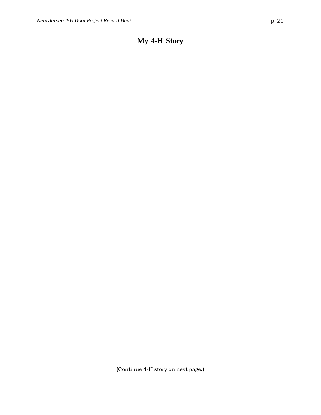## **My 4-H Story**

(Continue 4-H story on next page.)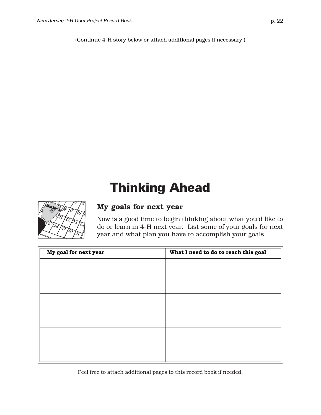(Continue 4-H story below or attach additional pages if necessary.)

## Thinking Ahead



#### **My goals for next year**

Now is a good time to begin thinking about what you'd like to do or learn in 4-H next year. List some of your goals for next year and what plan you have to accomplish your goals.

| My goal for next year | What I need to do to reach this goal |
|-----------------------|--------------------------------------|
|                       |                                      |
|                       |                                      |
|                       |                                      |
|                       |                                      |
|                       |                                      |
|                       |                                      |
|                       |                                      |
|                       |                                      |
|                       |                                      |

Feel free to attach additional pages to this record book if needed.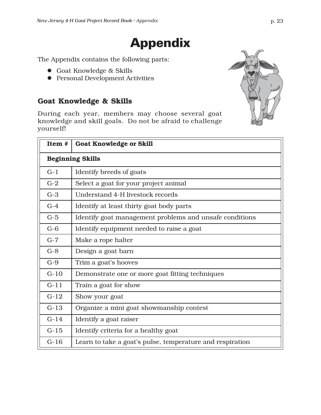## Appendix

The Appendix contains the following parts:

- Goat Knowledge & Skills
- **•** Personal Development Activities

## **Goat Knowledge & Skills**

During each year, members may choose several goat knowledge and skill goals. Do not be afraid to challenge yourself!

| Item#  | <b>Goat Knowledge or Skill</b>                            |  |  |
|--------|-----------------------------------------------------------|--|--|
|        | <b>Beginning Skills</b>                                   |  |  |
| $G-1$  | Identify breeds of goats                                  |  |  |
| $G-2$  | Select a goat for your project animal                     |  |  |
| $G-3$  | Understand 4-H livestock records                          |  |  |
| $G-4$  | Identify at least thirty goat body parts                  |  |  |
| $G-5$  | Identify goat management problems and unsafe conditions   |  |  |
| $G-6$  | Identify equipment needed to raise a goat                 |  |  |
| $G-7$  | Make a rope halter                                        |  |  |
| $G-8$  | Design a goat barn                                        |  |  |
| $G-9$  | Trim a goat's hooves                                      |  |  |
| $G-10$ | Demonstrate one or more goat fitting techniques           |  |  |
| $G-11$ | Train a goat for show                                     |  |  |
| $G-12$ | Show your goat                                            |  |  |
| $G-13$ | Organize a mini goat showmanship contest                  |  |  |
| $G-14$ | Identify a goat raiser                                    |  |  |
| $G-15$ | Identify criteria for a healthy goat                      |  |  |
| $G-16$ | Learn to take a goat's pulse, temperature and respiration |  |  |

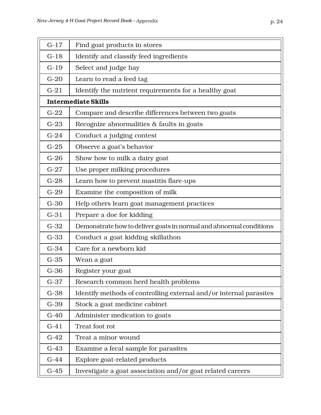| $G-17$ | Find goat products in stores                                       |
|--------|--------------------------------------------------------------------|
| $G-18$ | Identify and classify feed ingredients                             |
| $G-19$ | Select and judge hay                                               |
| $G-20$ | Learn to read a feed tag                                           |
| $G-21$ | Identify the nutrient requirements for a healthy goat              |
|        | <b>Intermediate Skills</b>                                         |
| $G-22$ | Compare and describe differences between two goats                 |
| $G-23$ | Recognize abnormalities & faults in goats                          |
| $G-24$ | Conduct a judging contest                                          |
| $G-25$ | Observe a goat's behavior                                          |
| $G-26$ | Show how to milk a dairy goat                                      |
| $G-27$ | Use proper milking procedures                                      |
| $G-28$ | Learn how to prevent mastitis flare-ups                            |
| $G-29$ | Examine the composition of milk                                    |
| $G-30$ | Help others learn goat management practices                        |
| $G-31$ | Prepare a doe for kidding                                          |
| $G-32$ | Demonstrate how to deliver goats in normal and abnormal conditions |
| $G-33$ | Conduct a goat kidding skillathon                                  |
| $G-34$ | Care for a newborn kid                                             |
| $G-35$ | Wean a goat                                                        |
| $G-36$ | Register your goat                                                 |
| $G-37$ | Research common herd health problems                               |
| $G-38$ | Identify methods of controlling external and/or internal parasites |
| $G-39$ | Stock a goat medicine cabinet                                      |
| $G-40$ | Administer medication to goats                                     |
| $G-41$ | Treat foot rot                                                     |
| $G-42$ | Treat a minor wound                                                |
| $G-43$ | Examine a fecal sample for parasites                               |
| $G-44$ | Explore goat-related products                                      |
| $G-45$ | Investigate a goat association and/or goat related careers         |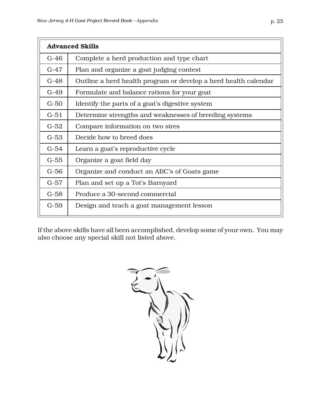| ۰.<br>v. |
|----------|
|          |

|        | <b>Advanced Skills</b>                                          |  |  |
|--------|-----------------------------------------------------------------|--|--|
| $G-46$ | Complete a herd production and type chart                       |  |  |
| $G-47$ | Plan and organize a goat judging contest                        |  |  |
| $G-48$ | Outline a herd health program or develop a herd health calendar |  |  |
| $G-49$ | Formulate and balance rations for your goat                     |  |  |
| $G-50$ | Identify the parts of a goat's digestive system                 |  |  |
| $G-51$ | Determine strengths and weaknesses of breeding systems          |  |  |
| $G-52$ | Compare information on two sires                                |  |  |
| $G-53$ | Decide how to breed does                                        |  |  |
| $G-54$ | Learn a goat's reproductive cycle                               |  |  |
| $G-55$ | Organize a goat field day                                       |  |  |
| $G-56$ | Organize and conduct an ABC's of Goats game                     |  |  |
| $G-57$ | Plan and set up a Tot's Barnyard                                |  |  |
| $G-58$ | Produce a 30-second commercial                                  |  |  |
| $G-59$ | Design and teach a goat management lesson                       |  |  |

If the above skills have all been accomplished, develop some of your own. You may also choose any special skill not listed above.

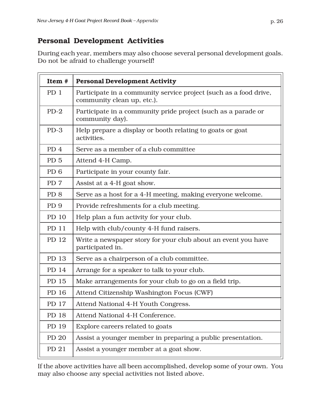#### **Personal Development Activities**

During each year, members may also choose several personal development goals. Do not be afraid to challenge yourself!

| Item #          | <b>Personal Development Activity</b>                                                            |
|-----------------|-------------------------------------------------------------------------------------------------|
| PD 1            | Participate in a community service project (such as a food drive,<br>community clean up, etc.). |
| $PD-2$          | Participate in a community pride project (such as a parade or<br>community day).                |
| $PD-3$          | Help prepare a display or booth relating to goats or goat<br>activities.                        |
| PD <sub>4</sub> | Serve as a member of a club committee                                                           |
| PD <sub>5</sub> | Attend 4-H Camp.                                                                                |
| PD <sub>6</sub> | Participate in your county fair.                                                                |
| PD <sub>7</sub> | Assist at a 4-H goat show.                                                                      |
| PD <sub>8</sub> | Serve as a host for a 4-H meeting, making everyone welcome.                                     |
| PD <sub>9</sub> | Provide refreshments for a club meeting.                                                        |
| PD 10           | Help plan a fun activity for your club.                                                         |
| PD 11           | Help with club/county 4-H fund raisers.                                                         |
| PD 12           | Write a newspaper story for your club about an event you have<br>participated in.               |
| PD 13           | Serve as a chairperson of a club committee.                                                     |
| PD 14           | Arrange for a speaker to talk to your club.                                                     |
| PD 15           | Make arrangements for your club to go on a field trip.                                          |
| PD 16           | Attend Citizenship Washington Focus (CWF)                                                       |
| PD 17           | Attend National 4-H Youth Congress.                                                             |
| PD 18           | Attend National 4-H Conference.                                                                 |
| PD 19           | Explore careers related to goats                                                                |
| PD 20           | Assist a younger member in preparing a public presentation.                                     |
| PD 21           | Assist a younger member at a goat show.                                                         |

If the above activities have all been accomplished, develop some of your own. You may also choose any special activities not listed above.